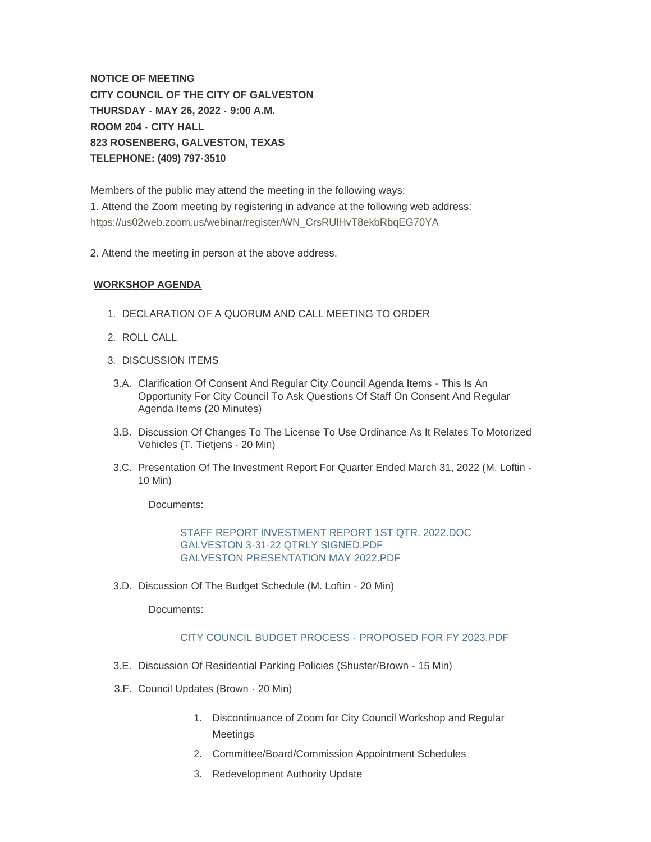**NOTICE OF MEETING CITY COUNCIL OF THE CITY OF GALVESTON THURSDAY - MAY 26, 2022 - 9:00 A.M. ROOM 204 - CITY HALL 823 ROSENBERG, GALVESTON, TEXAS TELEPHONE: (409) 797-3510**

Members of the public may attend the meeting in the following ways: [1. Attend the Zoom meeting by registering in advance at the following web ad](https://us02web.zoom.us/webinar/register/WN_CrsRUlHvT8ekbRbqEG70YA)dress: https://us02web.zoom.us/webinar/register/WN\_CrsRUlHvT8ekbRbqEG70YA

2. Attend the meeting in person at the above address.

## **WORKSHOP AGENDA**

- 1. DECLARATION OF A QUORUM AND CALL MEETING TO ORDER
- 2. ROLL CALL
- 3. DISCUSSION ITEMS
- 3.A. Clarification Of Consent And Regular City Council Agenda Items This Is An Opportunity For City Council To Ask Questions Of Staff On Consent And Regular Agenda Items (20 Minutes)
- 3.B. Discussion Of Changes To The License To Use Ordinance As It Relates To Motorized Vehicles (T. Tietjens - 20 Min)
- 3.C. Presentation Of The Investment Report For Quarter Ended March 31, 2022 (M. Loftin -10 Min)

Documents:

[STAFF REPORT INVESTMENT REPORT 1ST QTR. 2022.DOC](https://www.galvestontx.gov/AgendaCenter/ViewFile/Item/14304?fileID=32940) [GALVESTON 3-31-22 QTRLY SIGNED.PDF](https://www.galvestontx.gov/AgendaCenter/ViewFile/Item/14304?fileID=32941) [GALVESTON PRESENTATION MAY 2022.PDF](https://www.galvestontx.gov/AgendaCenter/ViewFile/Item/14304?fileID=32942)

3.D. Discussion Of The Budget Schedule (M. Loftin - 20 Min)

Documents:

## [CITY COUNCIL BUDGET PROCESS - PROPOSED FOR FY 2023.PDF](https://www.galvestontx.gov/AgendaCenter/ViewFile/Item/14321?fileID=32986)

- 3.E. Discussion Of Residential Parking Policies (Shuster/Brown 15 Min)
- 3.F. Council Updates (Brown 20 Min)
	- 1. Discontinuance of Zoom for City Council Workshop and Regular **Meetings**
	- 2. Committee/Board/Commission Appointment Schedules
	- 3. Redevelopment Authority Update